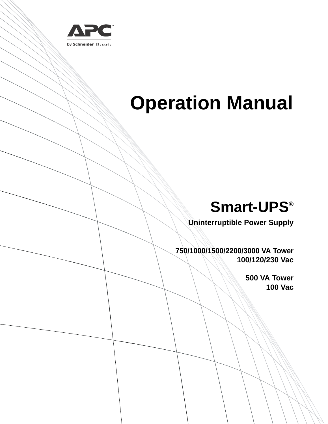

# **Operation Manual**

# **Smart-UPS®**

**Uninterruptible Power Supply**

**750/1000/1500/2200/3000 VA Tower 100/120/230 Vac**

> **500 VA Tower 100 Vac**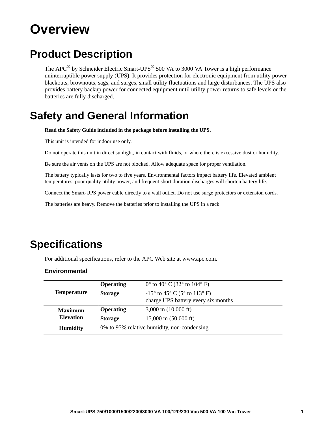### **Product Description**

The APC<sup>®</sup> by Schneider Electric Smart-UPS<sup>®</sup> 500 VA to 3000 VA Tower is a high performance uninterruptible power supply (UPS). It provides protection for electronic equipment from utility power blackouts, brownouts, sags, and surges, small utility fluctuations and large disturbances. The UPS also provides battery backup power for connected equipment until utility power returns to safe levels or the batteries are fully discharged.

### **Safety and General Information**

**Read the Safety Guide included in the package before installing the UPS.**

This unit is intended for indoor use only.

Do not operate this unit in direct sunlight, in contact with fluids, or where there is excessive dust or humidity.

Be sure the air vents on the UPS are not blocked. Allow adequate space for proper ventilation.

The battery typically lasts for two to five years. Environmental factors impact battery life. Elevated ambient temperatures, poor quality utility power, and frequent short duration discharges will shorten battery life.

Connect the Smart-UPS power cable directly to a wall outlet. Do not use surge protectors or extension cords.

The batteries are heavy. Remove the batteries prior to installing the UPS in a rack.

### **Specifications**

For additional specifications, refer to the APC Web site at www.apc.com.

#### **Environmental**

|                    | <b>Operating</b> | $0^{\circ}$ to 40° C (32° to 104° F)                                         |  |
|--------------------|------------------|------------------------------------------------------------------------------|--|
| <b>Temperature</b> | <b>Storage</b>   | $-15^{\circ}$ to 45° C (5° to 113° F)<br>charge UPS battery every six months |  |
| <b>Maximum</b>     | <b>Operating</b> | $3,000 \text{ m}$ (10,000 ft)                                                |  |
| <b>Elevation</b>   | <b>Storage</b>   | $15,000 \text{ m}$ (50,000 ft)                                               |  |
| <b>Humidity</b>    |                  | 0% to 95% relative humidity, non-condensing                                  |  |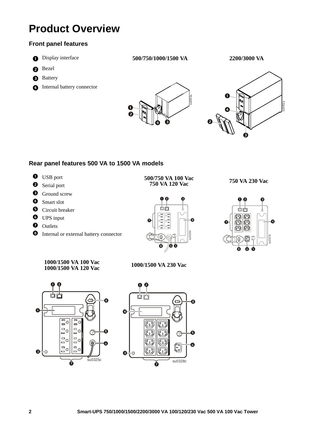### **Product Overview**

### **Front panel features**

- 
- **a** Bezel
- **B** Battery
- **O** Internal battery connector







### **Rear panel features 500 VA to 1500 VA models**

- **0** USB port **500/750 VA 100 Vac**<br> **2** Serial port **500/750 VA 120 Vac**
- 
- **6** Ground screw
- **O** Smart slot
- $\Theta$  Circuit breaker
- **O** UPS input
- **O** Outlets
- $\bullet$  Internal or external battery connector







#### **1000/1500 VA 100 Vac 1000/1500 VA 120 Vac 1000/1500 VA 230 Vac**



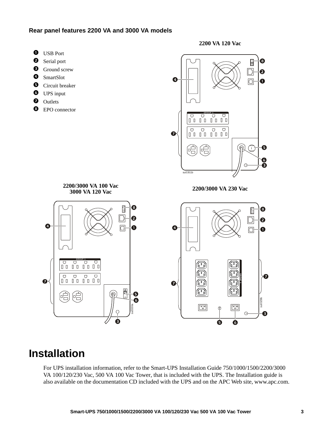#### **Rear panel features 2200 VA and 3000 VA models**

- **O** USB Port
- **2** Serial port
- $\bullet$  Ground screw
- **O** SmartSlot
- $\bullet$  Circuit breaker
- **O** UPS input
- **O** Outlets

O

 $\ddot{\mathbf{O}}$ 

 $\Box$ 

 $\cup$ 

<sup>O</sup> EPO connector





### **Installation**

For UPS installation information, refer to the Smart-UPS Installation Guide 750/1000/1500/2200/3000 VA 100/120/230 Vac, 500 VA 100 Vac Tower, that is included with the UPS. The Installation guide is also available on the documentation CD included with the UPS and on the APC Web site, www.apc.com.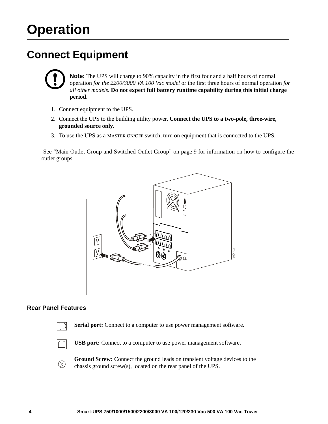## **Operation**

### **Connect Equipment**



**Note:** The UPS will charge to 90% capacity in the first four and a half hours of normal operation *for the 2200/3000 VA 100 Vac model* or the first three hours of normal operation *for all other models*. **Do not expect full battery runtime capability during this initial charge period.**

- 1. Connect equipment to the UPS.
- 2. Connect the UPS to the building utility power. **Connect the UPS to a two-pole, three-wire, grounded source only.**
- [3. To use the UPS as a MASTER ON/OFF switch, turn on equipm](#page-10-0)ent that is connected to the UPS.

 See "Main Outlet Group and Switched Outlet Group" on page 9 for information on how to configure the outlet groups.



### **Rear Panel Features**



Serial port: Connect to a computer to use power management software.

**USB port:** Connect to a computer to use power management software.

**Ground Screw:** Connect the ground leads on transient voltage devices to the  $\infty$ chassis ground screw(s), located on the rear panel of the UPS.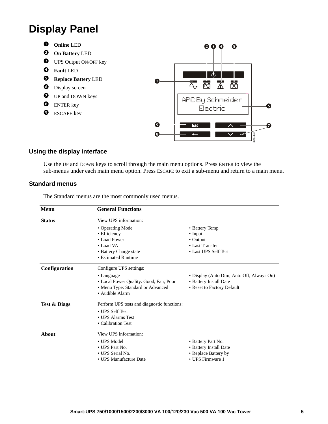### **Display Panel**

- **Online** LED
- **On Battery** LED
- **<sup>O</sup>** UPS Output ON/OFF key
- **Fault** LED
- **Replace Battery** LED
- **O** Display screen
- $\bullet$  UP and DOWN keys
- **<sup>6</sup>** ENTER key
- **O** ESCAPE key



### **Using the display interface**

Use the UP and DOWN keys to scroll through the main menu options. Press ENTER to view the sub-menus under each main menu option. Press ESCAPE to exit a sub-menu and return to a main menu.

#### **Standard menus**

The Standard menus are the most commonly used menus.

| Menu                    | <b>General Functions</b>                    |                                           |  |  |  |
|-------------------------|---------------------------------------------|-------------------------------------------|--|--|--|
| <b>Status</b>           | View UPS information:                       |                                           |  |  |  |
|                         | • Operating Mode                            | • Battery Temp                            |  |  |  |
|                         | • Efficiency                                | $\bullet$ Input                           |  |  |  |
|                         | • Load Power                                | $\bullet$ Output                          |  |  |  |
|                         | • Load VA                                   | • Last Transfer                           |  |  |  |
|                         | • Battery Charge state                      | • Last UPS Self Test                      |  |  |  |
|                         | • Estimated Runtime                         |                                           |  |  |  |
| Configuration           | Configure UPS settings:                     |                                           |  |  |  |
|                         | • Language                                  | • Display (Auto Dim, Auto Off, Always On) |  |  |  |
|                         | • Local Power Quality: Good, Fair, Poor     | • Battery Install Date                    |  |  |  |
|                         | • Menu Type: Standard or Advanced           | • Reset to Factory Default                |  |  |  |
|                         | • Audible Alarm                             |                                           |  |  |  |
| <b>Test &amp; Diags</b> | Perform UPS tests and diagnostic functions: |                                           |  |  |  |
|                         | • UPS Self Test                             |                                           |  |  |  |
| • UPS Alarms Test       |                                             |                                           |  |  |  |
|                         | • Calibration Test                          |                                           |  |  |  |
| About                   | View UPS information:                       |                                           |  |  |  |
|                         | • UPS Model                                 | • Battery Part No.                        |  |  |  |
|                         | • UPS Part No.                              | • Battery Install Date                    |  |  |  |
|                         | • UPS Serial No.                            | • Replace Battery by                      |  |  |  |
|                         | • UPS Manufacture Date                      | • UPS Firmware 1                          |  |  |  |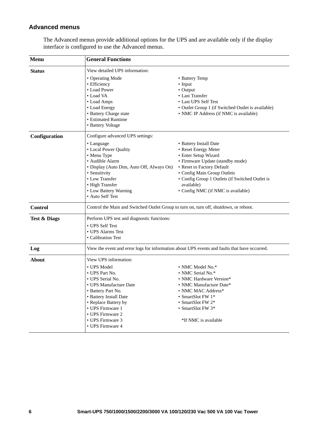### **Advanced menus**

| Menu                    | <b>General Functions</b>                                                                                                                                                                                                                                     |                                                                                                                                                                                                                                                                                |  |  |
|-------------------------|--------------------------------------------------------------------------------------------------------------------------------------------------------------------------------------------------------------------------------------------------------------|--------------------------------------------------------------------------------------------------------------------------------------------------------------------------------------------------------------------------------------------------------------------------------|--|--|
| <b>Status</b>           | View detailed UPS information:<br>• Operating Mode<br>• Efficiency<br>• Load Power<br>• Load VA<br>• Load Amps<br>• Load Energy<br>• Battery Charge state<br>• Estimated Runtime<br>• Battery Voltage                                                        | • Battery Temp<br>$\bullet$ Input<br>• Output<br>• Last Transfer<br>• Last UPS Self Test<br>• Outlet Group 1 (if Switched Outlet is available)<br>• NMC IP Address (if NMC is available)                                                                                       |  |  |
| Configuration           | Configure advanced UPS settings:<br>• Language<br>• Local Power Quality<br>• Menu Type<br>· Audible Alarm<br>• Display (Auto Dim, Auto Off, Always On)<br>• Sensitivity<br>• Low Transfer<br>• High Transfer<br>• Low Battery Warning<br>• Auto Self Test    | • Battery Install Date<br>• Reset Energy Meter<br>• Enter Setup Wizard<br>• Firmware Update (standby mode)<br>• Reset to Factory Default<br>• Config Main Group Outlets<br>• Config Group 1 Outlets (if Switched Outlet is<br>available)<br>• Config NMC (if NMC is available) |  |  |
| <b>Control</b>          |                                                                                                                                                                                                                                                              | Control the Main and Switched Outlet Group to turn on, turn off, shutdown, or reboot.                                                                                                                                                                                          |  |  |
| <b>Test &amp; Diags</b> | Perform UPS test and diagnostic functions:<br>• UPS Self Test<br>• UPS Alarms Test<br>• Calibration Test                                                                                                                                                     |                                                                                                                                                                                                                                                                                |  |  |
| Log                     | View the event and error logs for information about UPS events and faults that have occurred.                                                                                                                                                                |                                                                                                                                                                                                                                                                                |  |  |
| <b>About</b>            | View UPS information:<br>• UPS Model<br>• UPS Part No.<br>• UPS Serial No.<br>• UPS Manufacture Date<br>• Battery Part No.<br>• Battery Install Date<br>• Replace Battery by<br>• UPS Firmware 1<br>• UPS Firmware 2<br>• UPS Firmware 3<br>• UPS Firmware 4 | • NMC Model No.*<br>• NMC Serial No.*<br>• NMC Hardware Version*<br>• NMC Manufacture Date*<br>• NMC MAC Address*<br>• SmartSlot FW 1*<br>• SmartSlot FW 2*<br>• SmartSlot FW $3*$<br>*If NMC is available                                                                     |  |  |

The Advanced menus provide additional options for the UPS and are available only if the display interface is configured to use the Advanced menus.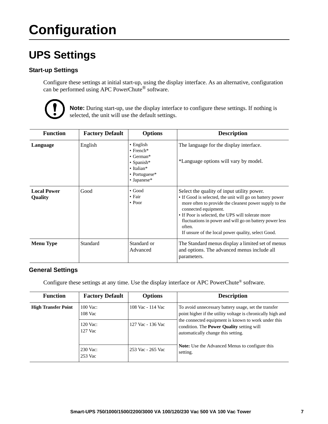# **Configuration**

### **UPS Settings**

### **Start-up Settings**

Configure these settings at initial start-up, using the display interface. As an alternative, configuration can be performed using APC PowerChute<sup>®</sup> software.



**Note:** During start-up, use the display interface to configure these settings. If nothing is selected, the unit will use the default settings.

| <b>Function</b>                      | <b>Factory Default</b> | <b>Options</b>                                                                                                                                  | <b>Description</b>                                                                                                                                                                                                                                                                                                                                                       |
|--------------------------------------|------------------------|-------------------------------------------------------------------------------------------------------------------------------------------------|--------------------------------------------------------------------------------------------------------------------------------------------------------------------------------------------------------------------------------------------------------------------------------------------------------------------------------------------------------------------------|
| Language                             | English                | $\bullet$ English<br>$\bullet$ French*<br>$\bullet$ German*<br>$\bullet$ Spanish*<br>$\bullet$ Italian*<br>• Portuguese*<br>$\bullet$ Japanese* | The language for the display interface.<br>*Language options will vary by model.                                                                                                                                                                                                                                                                                         |
| <b>Local Power</b><br><b>Quality</b> | Good                   | $\bullet$ Good<br>$\bullet$ Fair<br>$\cdot$ Poor                                                                                                | Select the quality of input utility power.<br>• If Good is selected, the unit will go on battery power<br>more often to provide the cleanest power supply to the<br>connected equipment.<br>• If Poor is selected, the UPS will tolerate more<br>fluctuations in power and will go on battery power less<br>often.<br>If unsure of the local power quality, select Good. |
| <b>Menu</b> Type                     | Standard               | Standard or<br>Advanced                                                                                                                         | The Standard menus display a limited set of menus<br>and options. The advanced menus include all<br>parameters.                                                                                                                                                                                                                                                          |

#### **General Settings**

Configure these settings at any time. Use the display interface or APC PowerChute® software.

| <b>Function</b>            | <b>Factory Default</b>                     | <b>Options</b>    | <b>Description</b>                                                                                                                                                                                                                                                   |
|----------------------------|--------------------------------------------|-------------------|----------------------------------------------------------------------------------------------------------------------------------------------------------------------------------------------------------------------------------------------------------------------|
| <b>High Transfer Point</b> | $100$ Vac:<br>108 Vac                      | 108 Vac - 114 Vac | To avoid unnecessary battery usage, set the transfer<br>point higher if the utility voltage is chronically high and<br>the connected equipment is known to work under this<br>condition. The <b>Power Quality</b> setting will<br>automatically change this setting. |
|                            | $120$ Vac:<br>127 Vac - 136 Vac<br>127 Vac |                   |                                                                                                                                                                                                                                                                      |
|                            | 230 Vac:<br>253 Vac                        | 253 Vac - 265 Vac | <b>Note:</b> Use the Advanced Menus to configure this<br>setting.                                                                                                                                                                                                    |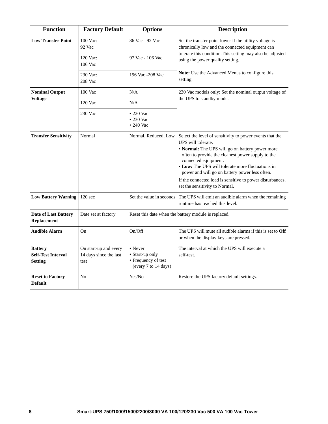| <b>Function</b>                                               | <b>Factory Default</b>                                  | <b>Options</b>                                                            | <b>Description</b>                                                                                                                                                                                                                                                                                                                                                                                                   |  |  |
|---------------------------------------------------------------|---------------------------------------------------------|---------------------------------------------------------------------------|----------------------------------------------------------------------------------------------------------------------------------------------------------------------------------------------------------------------------------------------------------------------------------------------------------------------------------------------------------------------------------------------------------------------|--|--|
| <b>Low Transfer Point</b>                                     | 100 Vac:<br>92 Vac                                      | 86 Vac - 92 Vac                                                           | Set the transfer point lower if the utility voltage is<br>chronically low and the connected equipment can                                                                                                                                                                                                                                                                                                            |  |  |
|                                                               | 120 Vac:<br>106 Vac                                     | 97 Vac - 106 Vac                                                          | tolerate this condition. This setting may also be adjusted<br>using the power quality setting.                                                                                                                                                                                                                                                                                                                       |  |  |
|                                                               | 230 Vac:<br>208 Vac                                     | 196 Vac -208 Vac                                                          | Note: Use the Advanced Menus to configure this<br>setting.                                                                                                                                                                                                                                                                                                                                                           |  |  |
| <b>Nominal Output</b>                                         | 100 Vac                                                 | N/A                                                                       | 230 Vac models only: Set the nominal output voltage of                                                                                                                                                                                                                                                                                                                                                               |  |  |
| <b>Voltage</b>                                                | 120 Vac                                                 | N/A                                                                       | the UPS to standby mode.                                                                                                                                                                                                                                                                                                                                                                                             |  |  |
|                                                               | 230 Vac                                                 | • 220 Vac<br>$\cdot$ 230 Vac<br>$\cdot$ 240 Vac                           |                                                                                                                                                                                                                                                                                                                                                                                                                      |  |  |
| <b>Transfer Sensitivity</b>                                   | Normal                                                  | Normal, Reduced, Low                                                      | Select the level of sensitivity to power events that the<br>UPS will tolerate.<br>• Normal: The UPS will go on battery power more<br>often to provide the cleanest power supply to the<br>connected equipment.<br>• Low: The UPS will tolerate more fluctuations in<br>power and will go on battery power less often.<br>If the connected load is sensitive to power disturbances,<br>set the sensitivity to Normal. |  |  |
| <b>Low Battery Warning</b>                                    | $120$ sec                                               | Set the value in seconds                                                  | The UPS will emit an audible alarm when the remaining<br>runtime has reached this level.                                                                                                                                                                                                                                                                                                                             |  |  |
| Date of Last Battery<br>Replacement                           | Date set at factory                                     |                                                                           | Reset this date when the battery module is replaced.                                                                                                                                                                                                                                                                                                                                                                 |  |  |
| <b>Audible Alarm</b>                                          | On                                                      | On/Off                                                                    | The UPS will mute all audible alarms if this is set to Off<br>or when the display keys are pressed.                                                                                                                                                                                                                                                                                                                  |  |  |
| <b>Battery</b><br><b>Self-Test Interval</b><br><b>Setting</b> | On start-up and every<br>14 days since the last<br>test | • Never<br>• Start-up only<br>• Frequency of test<br>(every 7 to 14 days) | The interval at which the UPS will execute a<br>self-test.                                                                                                                                                                                                                                                                                                                                                           |  |  |
| <b>Reset to Factory</b><br><b>Default</b>                     | No                                                      | Yes/No                                                                    | Restore the UPS factory default settings.                                                                                                                                                                                                                                                                                                                                                                            |  |  |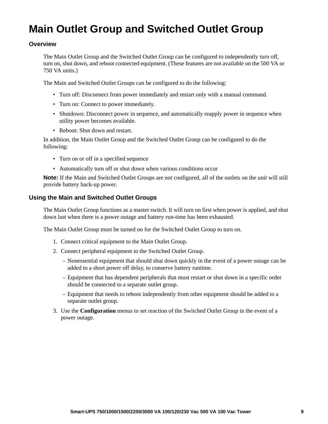### <span id="page-10-0"></span>**Main Outlet Group and Switched Outlet Group**

#### **Overview**

The Main Outlet Group and the Switched Outlet Group can be configured to independently turn off, turn on, shut down, and reboot connected equipment. (These features are not available on the 500 VA or 750 VA units.)

The Main and Switched Outlet Groups can be configured to do the following:

- Turn off: Disconnect from power immediately and restart only with a manual command.
- Turn on: Connect to power immediately.
- Shutdown: Disconnect power in sequence, and automatically reapply power in sequence when utility power becomes available.
- Reboot: Shut down and restart.

In addition, the Main Outlet Group and the Switched Outlet Group can be configured to do the following:

- Turn on or off in a specified sequence
- Automatically turn off or shut down when various conditions occur

**Note:** If the Main and Switched Outlet Groups are not configured, all of the outlets on the unit will still provide battery back-up power.

#### **Using the Main and Switched Outlet Groups**

The Main Outlet Group functions as a master switch. It will turn on first when power is applied, and shut down last when there is a power outage and battery run-time has been exhausted.

The Main Outlet Group must be turned on for the Switched Outlet Group to turn on.

- 1. Connect critical equipment to the Main Outlet Group.
- 2. Connect peripheral equipment to the Switched Outlet Group.
	- Nonessential equipment that should shut down quickly in the event of a power outage can be added to a short power off delay, to conserve battery runtime.
	- Equipment that has dependent peripherals that must restart or shut down in a specific order should be connected to a separate outlet group.
	- Equipment that needs to reboot independently from other equipment should be added to a separate outlet group.
- 3. Use the **Configuration** menus to set reaction of the Switched Outlet Group in the event of a power outage.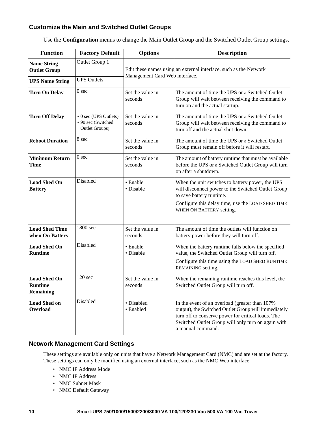### **Customize the Main and Switched Outlet Groups**

| Use the Configuration menus to change the Main Outlet Group and the Switched Outlet Group settings. |  |  |  |
|-----------------------------------------------------------------------------------------------------|--|--|--|
|                                                                                                     |  |  |  |

| <b>Function</b>                                    | <b>Factory Default</b>                                        | <b>Options</b>                                                                                      | <b>Description</b>                                                                                                                                                                                                                     |  |
|----------------------------------------------------|---------------------------------------------------------------|-----------------------------------------------------------------------------------------------------|----------------------------------------------------------------------------------------------------------------------------------------------------------------------------------------------------------------------------------------|--|
| <b>Name String</b><br><b>Outlet Group</b>          | Outlet Group 1                                                | Edit these names using an external interface, such as the Network<br>Management Card Web interface. |                                                                                                                                                                                                                                        |  |
| <b>UPS Name String</b>                             | <b>UPS Outlets</b>                                            |                                                                                                     |                                                                                                                                                                                                                                        |  |
| <b>Turn On Delay</b>                               | 0 <sub>sec</sub>                                              | Set the value in<br>seconds                                                                         | The amount of time the UPS or a Switched Outlet<br>Group will wait between receiving the command to<br>turn on and the actual startup.                                                                                                 |  |
| <b>Turn Off Delay</b>                              | • 0 sec (UPS Outlets)<br>• 90 sec (Switched<br>Outlet Groups) | Set the value in<br>seconds                                                                         | The amount of time the UPS or a Switched Outlet<br>Group will wait between receiving the command to<br>turn off and the actual shut down.                                                                                              |  |
| <b>Reboot Duration</b>                             | 8 sec                                                         | Set the value in<br>seconds                                                                         | The amount of time the UPS or a Switched Outlet<br>Group must remain off before it will restart.                                                                                                                                       |  |
| <b>Minimum Return</b><br><b>Time</b>               | 0 <sub>sec</sub>                                              | Set the value in<br>seconds                                                                         | The amount of battery runtime that must be available<br>before the UPS or a Switched Outlet Group will turn<br>on after a shutdown.                                                                                                    |  |
| <b>Load Shed On</b><br><b>Battery</b>              | Disabled                                                      | • Enable<br>· Disable                                                                               | When the unit switches to battery power, the UPS<br>will disconnect power to the Switched Outlet Group<br>to save battery runtime.<br>Configure this delay time, use the LOAD SHED TIME<br>WHEN ON BATTERY setting.                    |  |
| <b>Load Shed Time</b><br>when On Battery           | 1800 sec                                                      | Set the value in<br>seconds                                                                         | The amount of time the outlets will function on<br>battery power before they will turn off.                                                                                                                                            |  |
| <b>Load Shed On</b><br><b>Runtime</b>              | Disabled                                                      | • Enable<br>· Disable                                                                               | When the battery runtime falls below the specified<br>value, the Switched Outlet Group will turn off.<br>Configure this time using the LOAD SHED RUNTIME<br>REMAINING setting.                                                         |  |
| <b>Load Shed On</b><br><b>Runtime</b><br>Remaining | 120 sec                                                       | Set the value in<br>seconds                                                                         | When the remaining runtime reaches this level, the<br>Switched Outlet Group will turn off.                                                                                                                                             |  |
| <b>Load Shed on</b><br><b>Overload</b>             | Disabled                                                      | · Disabled<br>· Enabled                                                                             | In the event of an overload (greater than 107%<br>output), the Switched Outlet Group will immediately<br>turn off to conserve power for critical loads. The<br>Switched Outlet Group will only turn on again with<br>a manual command. |  |

#### **Network Management Card Settings**

These settings are available only on units that have a Network Management Card (NMC) and are set at the factory. These settings can only be modified using an external interface, such as the NMC Web interface.

- NMC IP Address Mode
- NMC IP Address
- NMC Subnet Mask
- NMC Default Gateway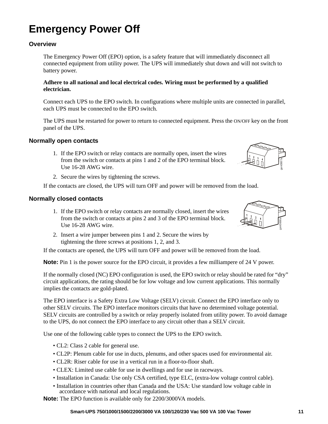### **Emergency Power Off**

### **Overview**

The Emergency Power Off (EPO) option, is a safety feature that will immediately disconnect all connected equipment from utility power. The UPS will immediately shut down and will not switch to battery power.

#### **Adhere to all national and local electrical codes. Wiring must be performed by a qualified electrician.**

Connect each UPS to the EPO switch. In configurations where multiple units are connected in parallel, each UPS must be connected to the EPO switch.

The UPS must be restarted for power to return to connected equipment. Press the ON/OFF key on the front panel of the UPS.

#### **Normally open contacts**

- 1. If the EPO switch or relay contacts are normally open, insert the wires from the switch or contacts at pins 1 and 2 of the EPO terminal block. Use 16-28 AWG wire.
- gen0887a

2. Secure the wires by tightening the screws.

If the contacts are closed, the UPS will turn OFF and power will be removed from the load.

#### **Normally closed contacts**

- 1. If the EPO switch or relay contacts are normally closed, insert the wires from the switch or contacts at pins 2 and 3 of the EPO terminal block. Use 16-28 AWG wire.
- 2. Insert a wire jumper between pins 1 and 2. Secure the wires by tightening the three screws at positions 1, 2, and 3.

If the contacts are opened, the UPS will turn OFF and power will be removed from the load.

**Note:** Pin 1 is the power source for the EPO circuit, it provides a few milliampere of 24 V power.

If the normally closed (NC) EPO configuration is used, the EPO switch or relay should be rated for "dry" circuit applications, the rating should be for low voltage and low current applications. This normally implies the contacts are gold-plated.

The EPO interface is a Safety Extra Low Voltage (SELV) circuit. Connect the EPO interface only to other SELV circuits. The EPO interface monitors circuits that have no determined voltage potential. SELV circuits are controlled by a switch or relay properly isolated from utility power. To avoid damage to the UPS, do not connect the EPO interface to any circuit other than a SELV circuit.

Use one of the following cable types to connect the UPS to the EPO switch.

- CL2: Class 2 cable for general use.
- CL2P: Plenum cable for use in ducts, plenums, and other spaces used for environmental air.
- CL2R: Riser cable for use in a vertical run in a floor-to-floor shaft.
- CLEX: Limited use cable for use in dwellings and for use in raceways.
- Installation in Canada: Use only CSA certified, type ELC, (extra-low voltage control cable).
- Installation in countries other than Canada and the USA: Use standard low voltage cable in accordance with national and local regulations.

**Note:** The EPO function is available only for 2200/3000VA models.

**Smart-UPS 750/1000/1500/2200/3000 VA 100/120/230 Vac 500 VA 100 Vac Tower 11**

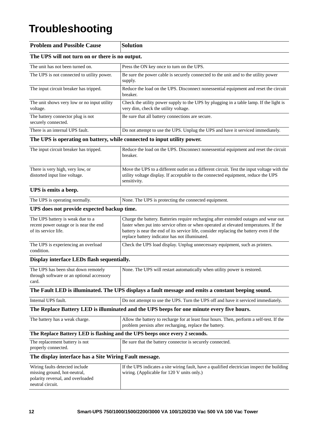### **Troubleshooting**

| <b>Problem and Possible Cause</b>                                                                                       | <b>Solution</b>                                                                                                                                                                                                                                                                                                           |
|-------------------------------------------------------------------------------------------------------------------------|---------------------------------------------------------------------------------------------------------------------------------------------------------------------------------------------------------------------------------------------------------------------------------------------------------------------------|
| The UPS will not turn on or there is no output.                                                                         |                                                                                                                                                                                                                                                                                                                           |
| The unit has not been turned on.                                                                                        | Press the ON key once to turn on the UPS.                                                                                                                                                                                                                                                                                 |
| The UPS is not connected to utility power.                                                                              | Be sure the power cable is securely connected to the unit and to the utility power<br>supply.                                                                                                                                                                                                                             |
| The input circuit breaker has tripped.                                                                                  | Reduce the load on the UPS. Disconnect nonessential equipment and reset the circuit<br>breaker.                                                                                                                                                                                                                           |
| The unit shows very low or no input utility<br>voltage.                                                                 | Check the utility power supply to the UPS by plugging in a table lamp. If the light is<br>very dim, check the utility voltage.                                                                                                                                                                                            |
| The battery connector plug is not<br>securely connected.                                                                | Be sure that all battery connections are secure.                                                                                                                                                                                                                                                                          |
| There is an internal UPS fault.                                                                                         | Do not attempt to use the UPS. Unplug the UPS and have it serviced immediately.                                                                                                                                                                                                                                           |
| The UPS is operating on battery, while connected to input utility power.                                                |                                                                                                                                                                                                                                                                                                                           |
| The input circuit breaker has tripped.                                                                                  | Reduce the load on the UPS. Disconnect nonessential equipment and reset the circuit<br>breaker.                                                                                                                                                                                                                           |
| There is very high, very low, or<br>distorted input line voltage.                                                       | Move the UPS to a different outlet on a different circuit. Test the input voltage with the<br>utility voltage display. If acceptable to the connected equipment, reduce the UPS<br>sensitivity.                                                                                                                           |
| UPS is emits a beep.                                                                                                    |                                                                                                                                                                                                                                                                                                                           |
| The UPS is operating normally.                                                                                          | None. The UPS is protecting the connected equipment.                                                                                                                                                                                                                                                                      |
| UPS does not provide expected backup time.                                                                              |                                                                                                                                                                                                                                                                                                                           |
| The UPS battery is weak due to a<br>recent power outage or is near the end<br>of its service life.                      | Charge the battery. Batteries require recharging after extended outages and wear out<br>faster when put into service often or when operated at elevated temperatures. If the<br>battery is near the end of its service life, consider replacing the battery even if the<br>replace battery indicator has not illuminated. |
| The UPS is experiencing an overload<br>condition.                                                                       | Check the UPS load display. Unplug unnecessary equipment, such as printers.                                                                                                                                                                                                                                               |
| Display interface LEDs flash sequentially.                                                                              |                                                                                                                                                                                                                                                                                                                           |
| The UPS has been shut down remotely<br>through software or an optional accessory<br>card.                               | None. The UPS will restart automatically when utility power is restored.                                                                                                                                                                                                                                                  |
|                                                                                                                         | The Fault LED is illuminated. The UPS displays a fault message and emits a constant beeping sound.                                                                                                                                                                                                                        |
| Internal UPS fault.                                                                                                     | Do not attempt to use the UPS. Turn the UPS off and have it serviced immediately.                                                                                                                                                                                                                                         |
|                                                                                                                         | The Replace Battery LED is illuminated and the UPS beeps for one minute every five hours.                                                                                                                                                                                                                                 |
| The battery has a weak charge.                                                                                          | Allow the battery to recharge for at least four hours. Then, perform a self-test. If the<br>problem persists after recharging, replace the battery.                                                                                                                                                                       |
|                                                                                                                         | The Replace Battery LED is flashing and the UPS beeps once every 2 seconds.                                                                                                                                                                                                                                               |
| The replacement battery is not<br>properly connected.                                                                   | Be sure that the battery connector is securely connected.                                                                                                                                                                                                                                                                 |
| The display interface has a Site Wiring Fault message.                                                                  |                                                                                                                                                                                                                                                                                                                           |
| Wiring faults detected include<br>missing ground, hot-neutral,<br>polarity reversal, and overloaded<br>neutral circuit. | If the UPS indicates a site wiring fault, have a qualified electrician inspect the building<br>wiring. (Applicable for 120 V units only.)                                                                                                                                                                                 |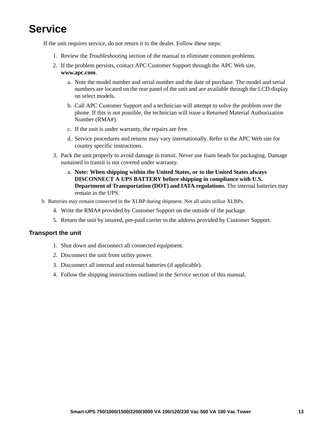### **Service**

If the unit requires service, do not return it to the dealer. Follow these steps:

- 1. Review the *Troubleshooting* section of the manual to eliminate common problems.
- 2. If the problem persists, contact APC Customer Support through the APC Web site, **www.apc.com**.
	- a. Note the model number and serial number and the date of purchase. The model and serial numbers are located on the rear panel of the unit and are available through the LCD display on select models.
	- b. Call APC Customer Support and a technician will attempt to solve the problem over the phone. If this is not possible, the technician will issue a Returned Material Authorization Number (RMA#).
	- c. If the unit is under warranty, the repairs are free.
	- d. Service procedures and returns may vary internationally. Refer to the APC Web site for country specific instructions.
- 3. Pack the unit properly to avoid damage in transit. Never use foam beads for packaging. Damage sustained in transit is not covered under warranty.
	- a. **Note: When shipping within the United States, or to the United States always DISCONNECT A UPS BATTERY before shipping in compliance with U.S. Department of Transportation (DOT) and IATA regulations.** The internal batteries may remain in the UPS.
- b. Batteries may remain connected in the XLBP during shipment. Not all units utilize XLBPs.
	- 4. Write the RMA# provided by Customer Support on the outside of the package.
	- 5. Return the unit by insured, pre-paid carrier to the address provided by Customer Support.

#### **Transport the unit**

- 1. Shut down and disconnect all connected equipment.
- 2. Disconnect the unit from utility power.
- 3. Disconnect all internal and external batteries (if applicable).
- 4. Follow the shipping instructions outlined in the *Service* section of this manual.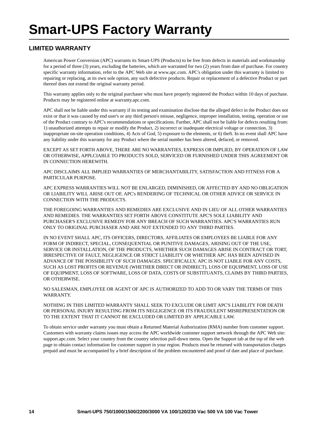### **LIMITED WARRANTY**

American Power Conversion (APC) warrants its Smart-UPS (Products) to be free from defects in materials and workmanship for a period of three (3) years, excluding the batteries, which are warranted for two (2) years from date of purchase. For country specific warranty information, refer to the APC Web site at www.apc.com. APC's obligation under this warranty is limited to repairing or replacing, at its own sole option, any such defective products. Repair or replacement of a defective Product or part thereof does not extend the original warranty period.

This warranty applies only to the original purchaser who must have properly registered the Product within 10 days of purchase. Products may be registered online at warranty.apc.com.

APC shall not be liable under this warranty if its testing and examination disclose that the alleged defect in the Product does not exist or that it was caused by end user's or any third person's misuse, negligence, improper installation, testing, operation or use of the Product contrary to APC's recommendations or specifications. Further, APC shall not be liable for defects resulting from: 1) unauthorized attempts to repair or modify the Product, 2) incorrect or inadequate electrical voltage or connection, 3) inappropriate on-site operation conditions, 4) Acts of God, 5) exposure to the elements, or 6) theft. In no event shall APC have any liability under this warranty for any Product where the serial number has been altered, defaced, or removed.

EXCEPT AS SET FORTH ABOVE, THERE ARE NO WARRANTIES, EXPRESS OR IMPLIED, BY OPERATION OF LAW OR OTHERWISE, APPLCIABLE TO PRODUCTS SOLD, SERVICED OR FURNISHED UNDER THIS AGREEMENT OR IN CONNECTION HEREWITH.

APC DISCLAIMS ALL IMPLIED WARRANTIES OF MERCHANTABILITY, SATISFACTION AND FITNESS FOR A PARTICULAR PURPOSE.

APC EXPRESS WARRANTIES WILL NOT BE ENLARGED, DIMINISHED, OR AFFECTED BY AND NO OBLIGATION OR LIABILITY WILL ARISE OUT OF, APC's RENDERING OF TECHNICAL OR OTHER ADVICE OR SERVICE IN CONNECTION WITH THE PRODUCTS.

THE FOREGOING WARRANTIES AND REMEDIES ARE EXCLUSIVE AND IN LIEU OF ALL OTHER WARRANTIES AND REMEDIES. THE WARRANTIES SET FORTH ABOVE CONSTITUTE APC'S SOLE LIABILITY AND PURCHASER'S EXCLUSIVE REMEDY FOR ANY BREACH OF SUCH WARRANTIES. APC'S WARRANTIES RUN ONLY TO ORIGINAL PURCHASER AND ARE NOT EXTENDED TO ANY THIRD PARTIES.

IN NO EVENT SHALL APC, ITS OFFICERS, DIRECTORS, AFFILIATES OR EMPLOYEES BE LIABLE FOR ANY FORM OF INDIRECT, SPECIAL, CONSEQUENTIAL OR PUNITIVE DAMAGES, ARISING OUT OF THE USE, SERVICE OR INSTALLATION, OF THE PRODUCTS, WHETHER SUCH DAMAGES ARISE IN CONTRACT OR TORT, IRRESPECTIVE OF FAULT, NEGLIGENCE OR STRICT LIABILITY OR WHETHER APC HAS BEEN ADVISED IN ADVANCE OF THE POSSIBILITY OF SUCH DAMAGES. SPECIFICALLY, APC IS NOT LIABLE FOR ANY COSTS, SUCH AS LOST PROFITS OR REVENUE (WHETHER DIRECT OR INDIRECT), LOSS OF EQUIPMENT, LOSS OF USE OF EQUIPMENT, LOSS OF SOFTWARE, LOSS OF DATA, COSTS OF SUBSTITUANTS, CLAIMS BY THIRD PARTIES, OR OTHERWISE.

NO SALESMAN, EMPLOYEE OR AGENT OF APC IS AUTHORIZED TO ADD TO OR VARY THE TERMS OF THIS WARRANTY.

NOTHING IN THIS LIMITED WARRANTY SHALL SEEK TO EXCLUDE OR LIMIT APC'S LIABILITY FOR DEATH OR PERSONAL INJURY RESULTING FROM ITS NEGLIGENCE OR ITS FRAUDULENT MISREPRESENTATION OR TO THE EXTENT THAT IT CANNOT BE EXCLUDED OR LIMITED BY APPLICABLE LAW.

To obtain service under warranty you must obtain a Returned Material Authorization (RMA) number from customer support. Customers with warranty claims issues may access the APC worldwide customer support network through the APC Web site: support.apc.com. Select your country from the country selection pull-down menu. Open the Support tab at the top of the web page to obtain contact information for customer support in your region. Products must be returned with transportation charges prepaid and must be accompanied by a brief description of the problem encountered and proof of date and place of purchase.